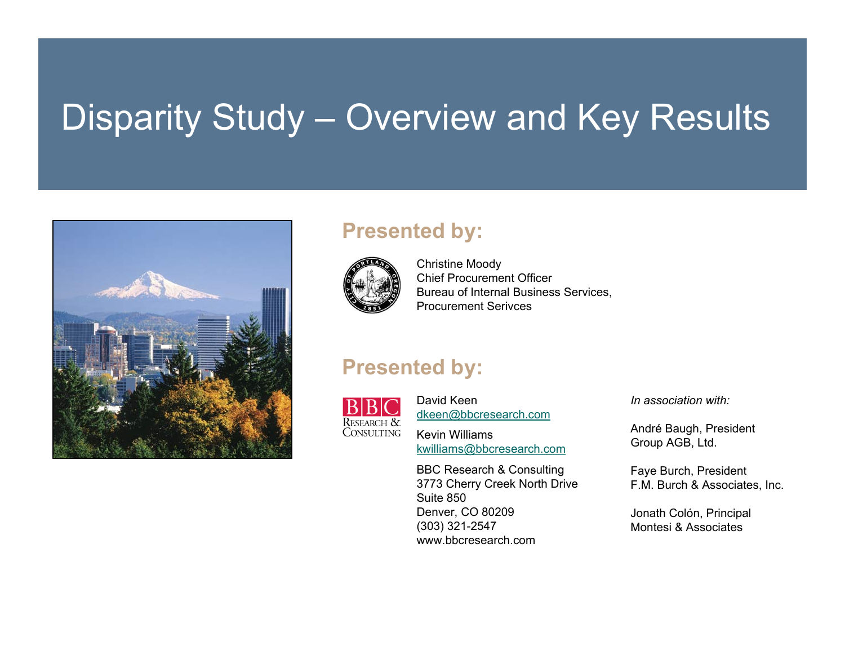# Disparity Study – Overview and Key Results



#### **Presented by:**



Christine Moody Chief Procurement OfficerBureau of Internal Business Services, Procurement Serivces

#### **Presented by:**



David Keen[dkeen@bbcresearch.com](mailto:dkeen@bbcresearch.com)

Kevin Williams[kwilliams@bbcresearch.com](mailto:kwilliams@bbcresearch.com)

BBC Research & Consulting 3773 Cherry Creek North Drive Suite 850Denver, CO 80209 (303) 321-2547 www.bbcresearch.com

*In association with:*

André Baugh, President Group AGB, Ltd.

Faye Burch, President F.M. Burch & Associates, Inc.

Jonath Colón, Principal Montesi & Associates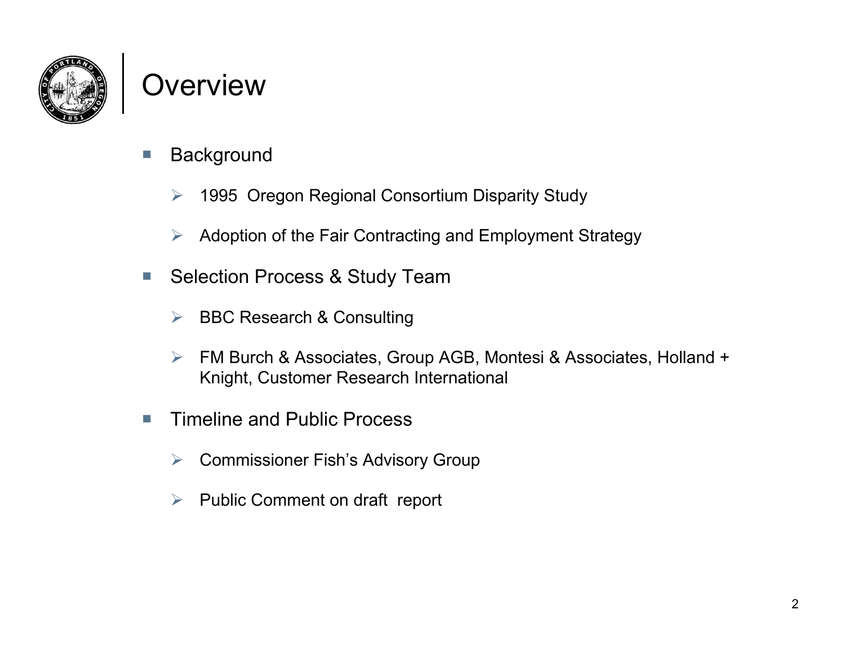

#### Overview

- $\mathcal{C}^{\mathcal{A}}$ **Background** 
	- $\blacktriangleright$ 1995 Oregon Regional Consortium Disparity Study
	- ➤ Adoption of the Fair Contracting and Employment Strategy
- $\mathcal{L}_{\mathcal{A}}$  Selection Process & Study Team
	- $\triangleright$  BBC Research & Consulting
	- $\blacktriangleright$  FM Burch & Associates, Group AGB, Montesi & Associates, Holland + Knight, Customer Research International
- $\mathcal{C}$  Timeline and Public Process
	- **▶ Commissioner Fish's Advisory Group**
	- $\blacktriangleright$ Public Comment on draft report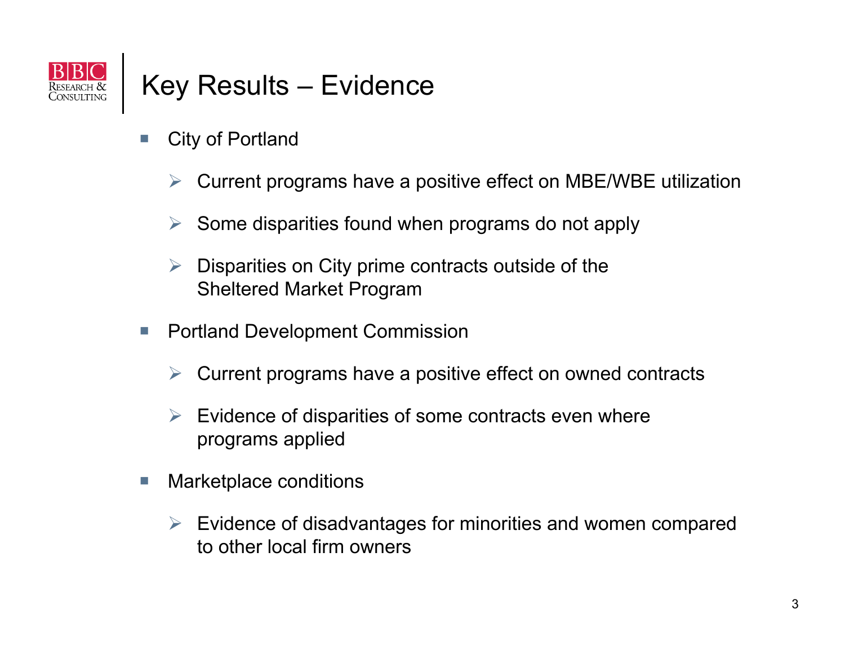

#### Key Results – Evidence

- H. City of Portland
	- $\triangleright$  Current programs have a positive effect on MBE/WBE utilization
	- $\blacktriangleright$ Some disparities found when programs do not apply
	- $\blacktriangleright$  Disparities on City prime contracts outside of the Sheltered Market Program
- $\mathbb{R}^n$  Portland Development Commission
	- $\blacktriangleright$ Current programs have a positive effect on owned contracts
	- $\blacktriangleright$  Evidence of disparities of some contracts even where programs applied
- T. Marketplace conditions
	- $\triangleright$  Evidence of disadvantages for minorities and women compared to other local firm owners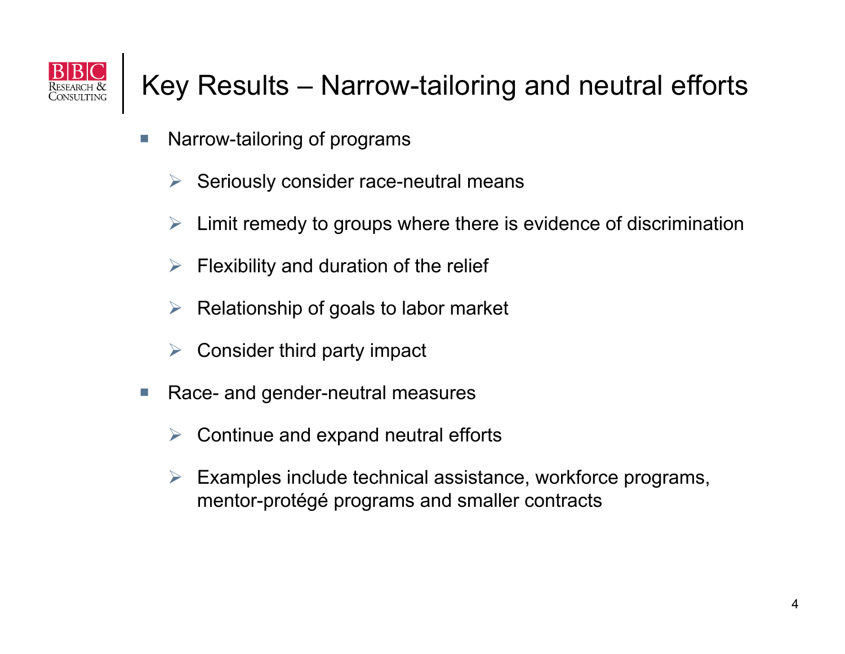

#### Key Results – Narrow-tailoring and neutral efforts

- L. Narrow-tailoring of programs
	- $\triangleright$  Seriously consider race-neutral means
	- $\blacktriangleright$ Limit remedy to groups where there is evidence of discrimination
	- $\blacktriangleright$ Flexibility and duration of the relief
	- $\blacktriangleright$ Relationship of goals to labor market
	- $\triangleright$  Consider third party impact
- $\mathbb{R}^n$  Race- and gender-neutral measures
	- $\blacktriangleright$ Continue and expand neutral efforts
	- $\blacktriangleright$  Examples include technical assistance, workforce programs, mentor-protégé programs and smaller contracts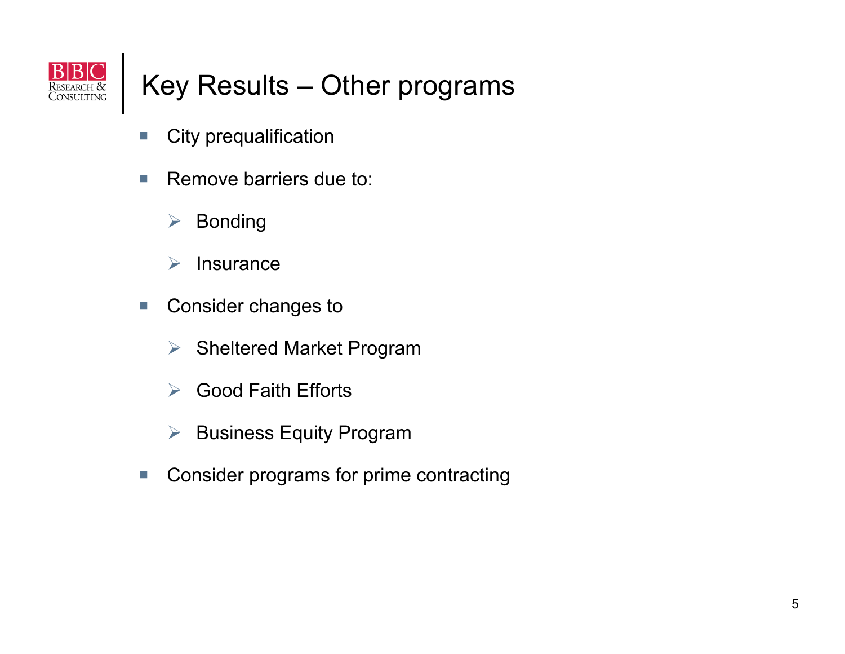

#### Key Results – Other programs

- $\mathbb{R}^2$ City prequalification
- $\mathcal{C}$  Remove barriers due to:
	- $\blacktriangleright$ Bonding
	- $\blacktriangleright$ **Insurance**
- $\mathcal{C}$  Consider changes to
	- $\blacktriangleright$ Sheltered Market Program
	- $\sum_{i=1}^{n}$ Good Faith Efforts
	- $\blacktriangleright$ Business Equity Program
- $\mathbb{R}^3$ Consider programs for prime contracting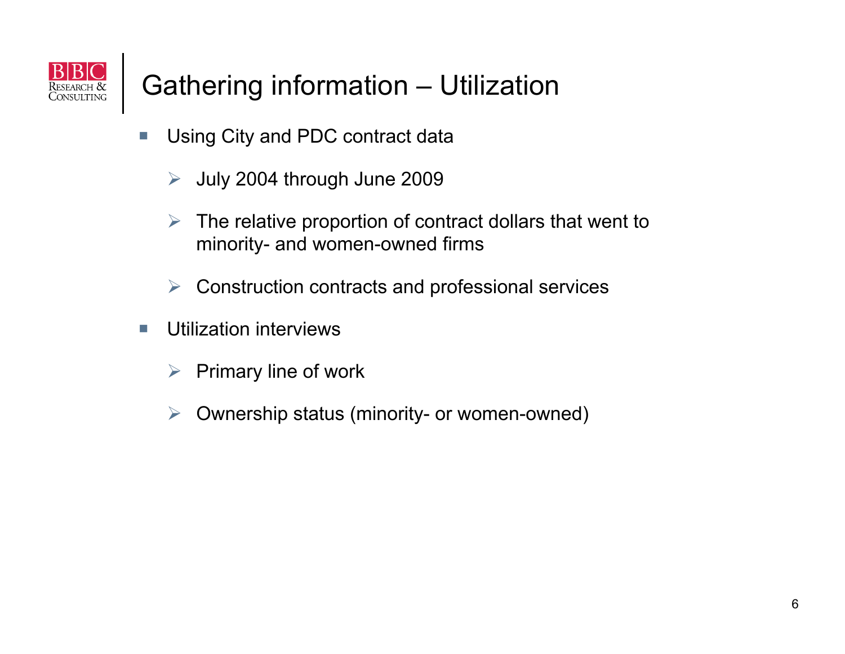

### Gathering information – Utilization

- $\mathcal{L}$  Using City and PDC contract data
	- $\blacktriangleright$ July 2004 through June 2009
	- $\triangleright$  The relative proportion of contract dollars that went to minority- and women-owned firms
	- $\triangleright$ Construction contracts and professional services
- $\mathcal{L}_{\mathcal{A}}$  Utilization interviews
	- $\blacktriangleright$ Primary line of work
	- $\blacktriangleright$ Ownership status (minority- or women-owned)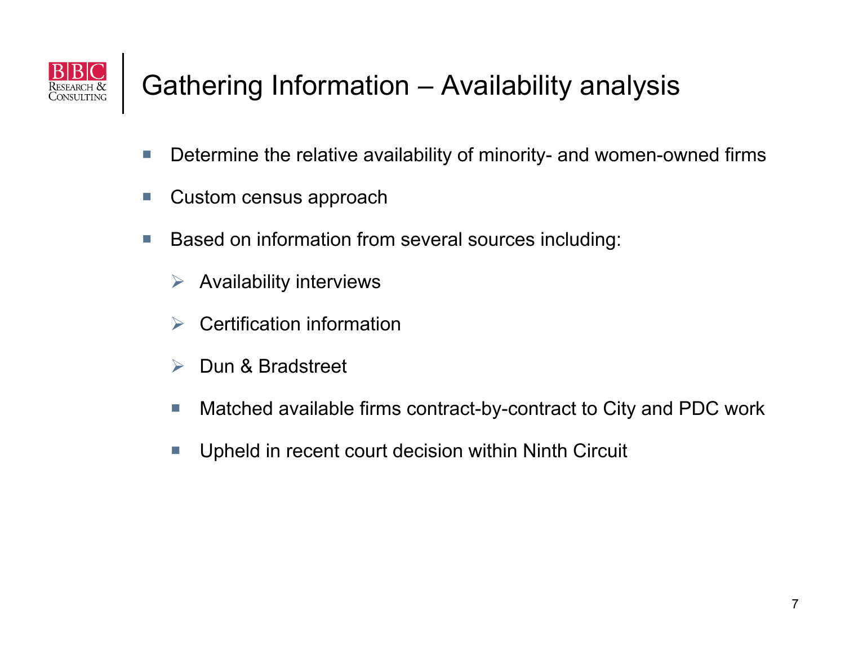

### Gathering Information – Availability analysis

- $\mathcal{C}^{\mathcal{A}}$ Determine the relative availability of minority- and women-owned firms
- $\mathcal{C}$ Custom census approach
- $\mathbb{R}^2$  Based on information from several sources including:
	- $\blacktriangleright$ Availability interviews
	- $\blacktriangleright$ Certification information
	- $\sum_{i=1}^{n}$ Dun & Bradstreet
	- F. Matched available firms contract-by-contract to City and PDC work
	- T. Upheld in recent court decision within Ninth Circuit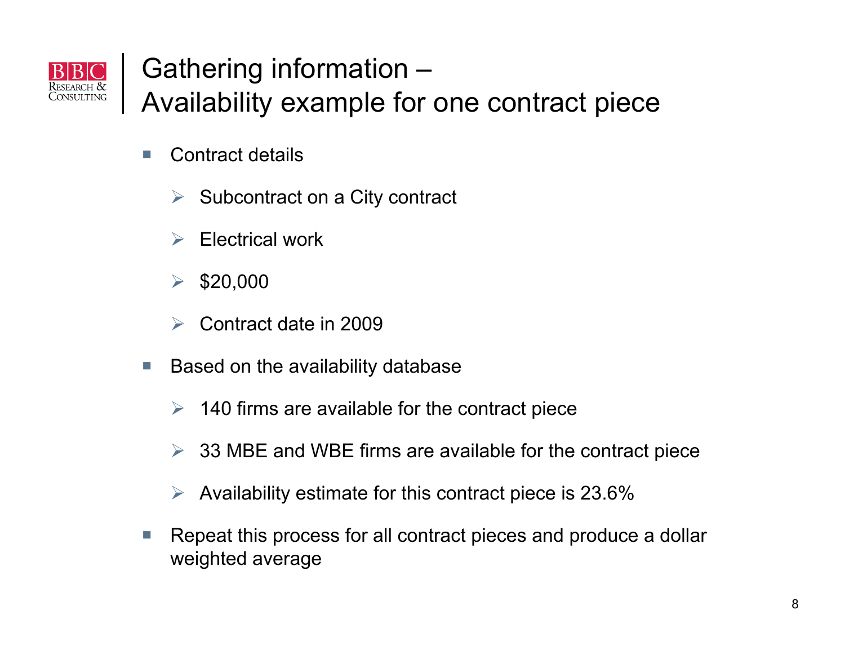

# Gathering information –

Availability example for one contract piece

- $\mathcal{C}$  Contract details
	- $\blacktriangleright$ Subcontract on a City contract
	- $\blacktriangleright$ Electrical work
	- $\sum_{i=1}^{n}$ \$20,000
	- $\blacktriangleright$ Contract date in 2009
- $\mathcal{L}_{\mathcal{A}}$  Based on the availability database
	- $\geq$  140 firms are available for the contract piece
	- $\blacktriangleright$ 33 MBE and WBE firms are available for the contract piece
	- $\triangleright$  Availability estimate for this contract piece is 23.6%
- $\mathcal{L}_{\mathcal{A}}$  Repeat this process for all contract pieces and produce a dollar weighted average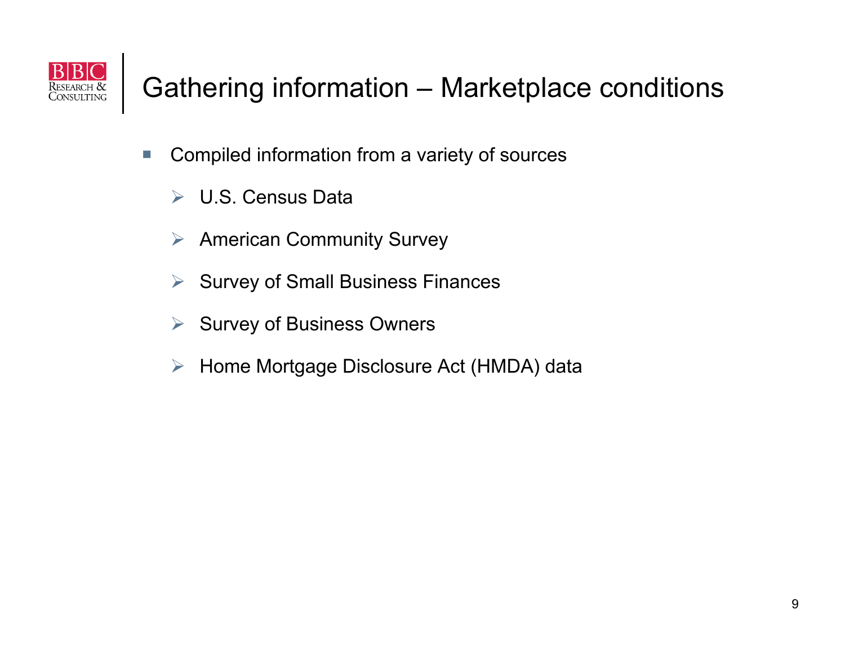

### Gathering information – Marketplace conditions

- $\mathcal{L}_{\mathcal{A}}$  Compiled information from a variety of sources
	- U.S. Census Data
	- $\triangleright$  American Community Survey
	- $\blacktriangleright$ Survey of Small Business Finances
	- $\triangleright$  Survey of Business Owners
	- Home Mortgage Disclosure Act (HMDA) data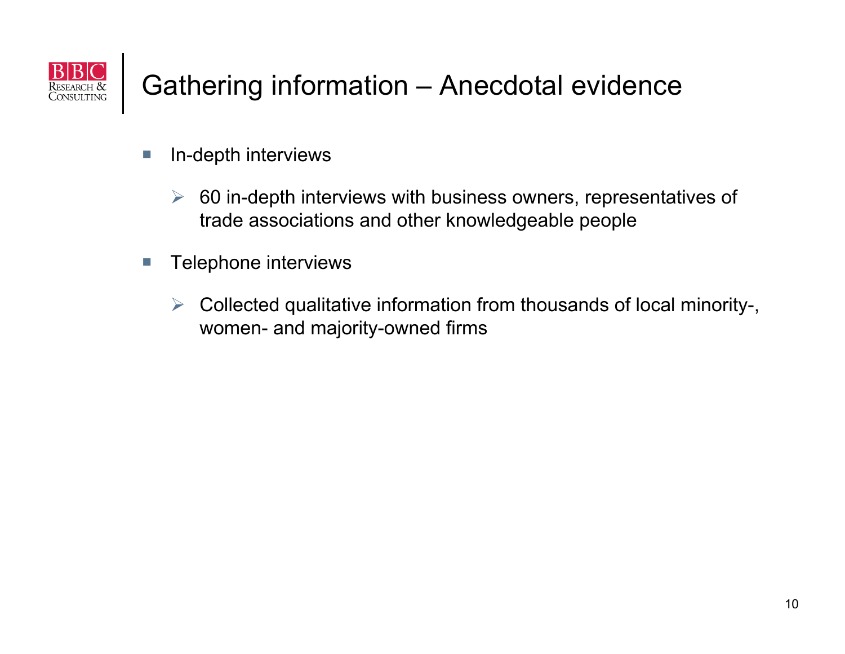

#### Gathering information – Anecdotal evidence

- $\mathcal{L}_{\mathcal{A}}$  In-depth interviews
	- $\blacktriangleright$  60 in-depth interviews with business owners, representatives of trade associations and other knowledgeable people
- $\mathcal{C}$  Telephone interviews
	- $\blacktriangleright$  Collected qualitative information from thousands of local minority-, women- and majority-owned firms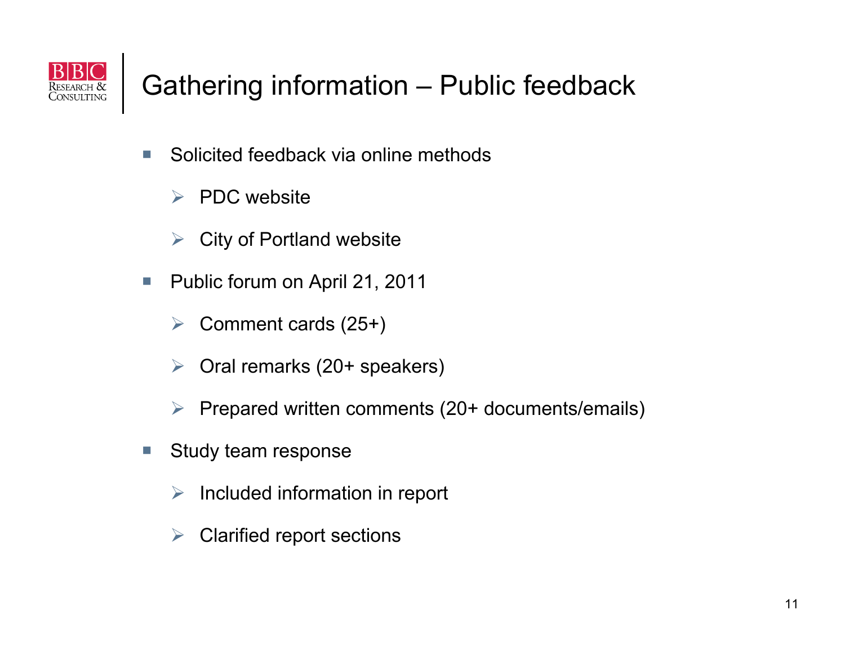

#### Gathering information – Public feedback

- $\mathcal{C}$  Solicited feedback via online methods
	- $\triangleright$  PDC website
	- $\blacktriangleright$ City of Portland website
- $\mathcal{L}_{\mathcal{A}}$  Public forum on April 21, 2011
	- $\blacktriangleright$ Comment cards (25+)
	- $\blacktriangleright$ Oral remarks (20+ speakers)
	- $\blacktriangleright$ Prepared written comments (20+ documents/emails)
- $\mathcal{L}_{\mathcal{A}}$  Study team response
	- $\triangleright$  Included information in report
	- ▶ Clarified report sections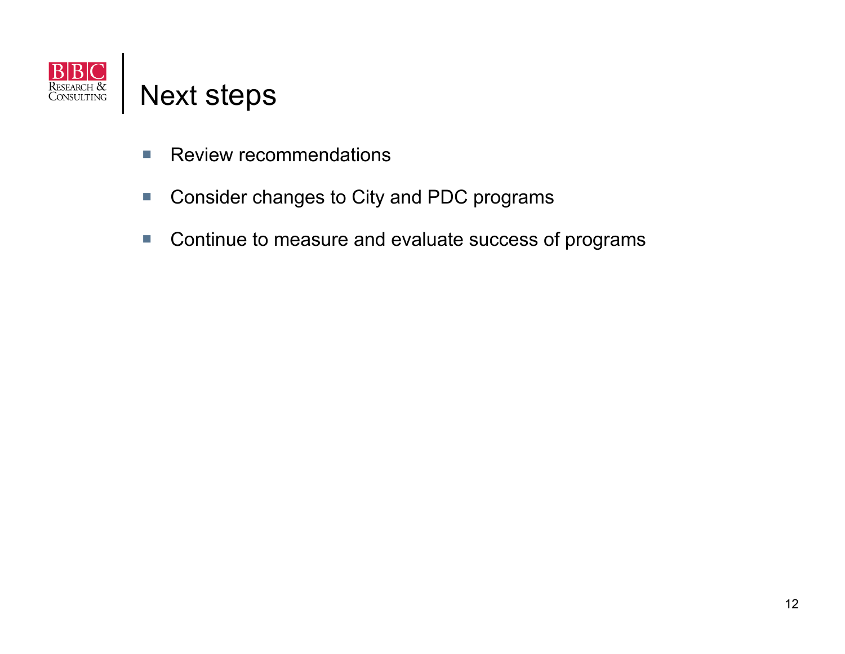

- $\mathcal{L}_{\mathcal{A}}$ Review recommendations
- $\overline{\phantom{a}}$ Consider changes to City and PDC programs
- $\mathcal{L}_{\mathcal{A}}$ Continue to measure and evaluate success of programs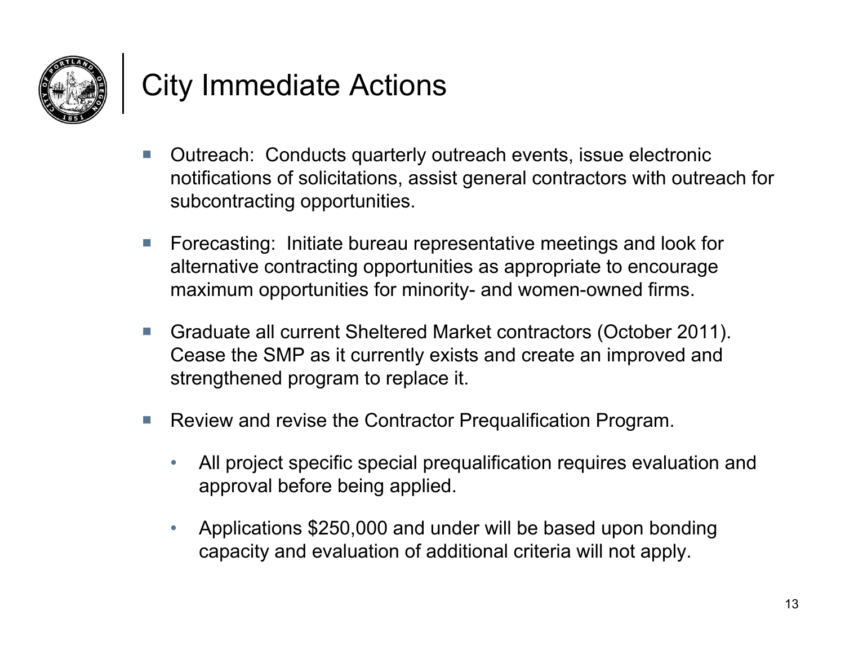

## City Immediate Actions

- $\mathcal{C}$  Outreach: Conducts quarterly outreach events, issue electronic notifications of solicitations, assist general contractors with outreach for subcontracting opportunities.
- $\mathcal{C}$  Forecasting: Initiate bureau representative meetings and look for alternative contracting opportunities as appropriate to encourage maximum opportunities for minority- and women-owned firms.
- $\overline{\phantom{a}}$  Graduate all current Sheltered Market contractors (October 2011). Cease the SMP as it currently exists and create an improved and strengthened program to replace it.
- $\mathcal{L}_{\mathcal{A}}$  Review and revise the Contractor Prequalification Program.
	- • All project specific special prequalification requires evaluation and approval before being applied.
	- • Applications \$250,000 and under will be based upon bonding capacity and evaluation of additional criteria will not apply.